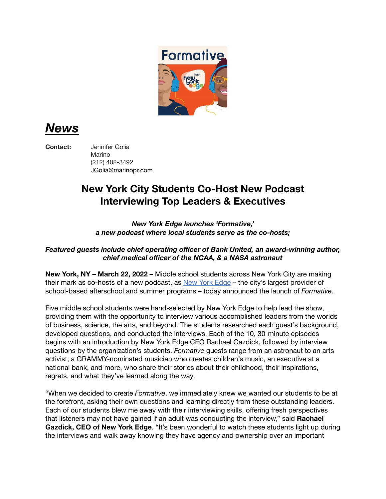

*News*

**Contact:** Jennifer Golia

Marino (212) 402-3492 JGolia@marinopr.com

## **New York City Students Co-Host New Podcast Interviewing Top Leaders & Executives**

*New York Edge launches 'Formative,' a new podcast where local students serve as the co-hosts;*

## *Featured guests include chief operating officer of Bank United, an award-winning author, chief medical officer of the NCAA, & a NASA astronaut*

**New York, NY – March 22, 2022 –** Middle school students across New York City are making their mark as co-hosts of a new podcast, as New York [Edge](https://newyorkedge.org/) - the city's largest provider of school-based afterschool and summer programs – today announced the launch of *Formative*.

Five middle school students were hand-selected by New York Edge to help lead the show, providing them with the opportunity to interview various accomplished leaders from the worlds of business, science, the arts, and beyond. The students researched each guest's background, developed questions, and conducted the interviews. Each of the 10, 30-minute episodes begins with an introduction by New York Edge CEO Rachael Gazdick, followed by interview questions by the organization's students. *Formative* guests range from an astronaut to an arts activist, a GRAMMY-nominated musician who creates children's music, an executive at a national bank, and more, who share their stories about their childhood, their inspirations, regrets, and what they've learned along the way.

"When we decided to create *Formative*, we immediately knew we wanted our students to be at the forefront, asking their own questions and learning directly from these outstanding leaders. Each of our students blew me away with their interviewing skills, offering fresh perspectives that listeners may not have gained if an adult was conducting the interview," said **Rachael Gazdick, CEO of New York Edge**. "It's been wonderful to watch these students light up during the interviews and walk away knowing they have agency and ownership over an important